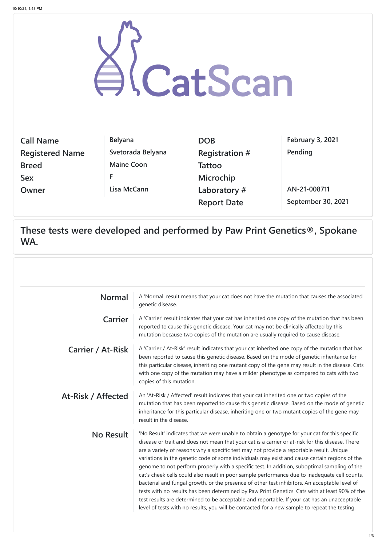| CatScan                |                   |                       |                         |  |
|------------------------|-------------------|-----------------------|-------------------------|--|
| <b>Call Name</b>       | <b>Belyana</b>    | <b>DOB</b>            | <b>February 3, 2021</b> |  |
| <b>Registered Name</b> | Svetorada Belyana | <b>Registration #</b> | Pending                 |  |
| <b>Breed</b>           | <b>Maine Coon</b> | <b>Tattoo</b>         |                         |  |
| <b>Sex</b>             | F                 | Microchip             |                         |  |
| Owner                  | Lisa McCann       | Laboratory#           | AN-21-008711            |  |
|                        |                   | <b>Report Date</b>    | September 30, 2021      |  |

**These tests were developed and performed by Paw Print Genetics®, Spokane WA.**

| <b>Normal</b>            | A 'Normal' result means that your cat does not have the mutation that causes the associated<br>genetic disease.                                                                                                                                                                                                                                                                                                        |
|--------------------------|------------------------------------------------------------------------------------------------------------------------------------------------------------------------------------------------------------------------------------------------------------------------------------------------------------------------------------------------------------------------------------------------------------------------|
| Carrier                  | A 'Carrier' result indicates that your cat has inherited one copy of the mutation that has been<br>reported to cause this genetic disease. Your cat may not be clinically affected by this<br>mutation because two copies of the mutation are usually required to cause disease.                                                                                                                                       |
| <b>Carrier / At-Risk</b> | A 'Carrier / At-Risk' result indicates that your cat inherited one copy of the mutation that has<br>been reported to cause this genetic disease. Based on the mode of genetic inheritance for<br>this particular disease, inheriting one mutant copy of the gene may result in the disease. Cats<br>with one copy of the mutation may have a milder phenotype as compared to cats with two<br>copies of this mutation. |
| At-Risk / Affected       | An 'At-Risk / Affected' result indicates that your cat inherited one or two copies of the<br>mutation that has been reported to cause this genetic disease. Based on the mode of genetic<br>inheritance for this narticular disease inheriting one or two mutant copies of the gene may                                                                                                                                |

**No Result** | 'No Result' indicates that we were unable to obtain a genotype for your cat for this specific disease or trait and does not mean that your cat is a carrier or at-risk for this disease. There are a variety of reasons why a specific test may not provide a reportable result. Unique variations in the genetic code of some individuals may exist and cause certain regions of the genome to not perform properly with a specific test. In addition, suboptimal sampling of the cat's cheek cells could also result in poor sample performance due to inadequate cell counts, bacterial and fungal growth, or the presence of other test inhibitors. An acceptable level of tests with no results has been determined by Paw Print Genetics. Cats with at least 90% of the test results are determined to be acceptable and reportable. If your cat has an unacceptable level of tests with no results, you will be contacted for a new sample to repeat the testing.

inheritance for this particular disease, inheriting one or two mutant copies of the gene may result in the disease.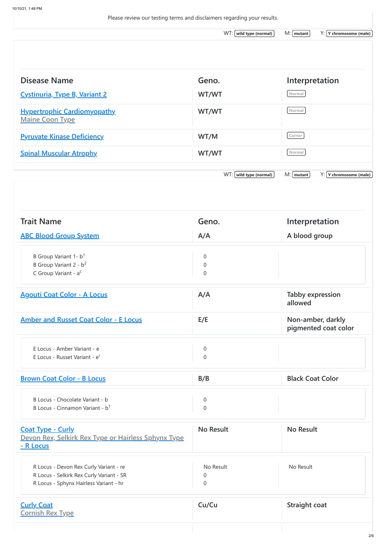Please review our testing terms and disclaimers regarding your results. WT: **wild type (normal)** M: **mutant** Y: **Y chromosome (male) Disease Name Geno. Interpretation [Cystinuria, Type B, Variant 2](https://www.mycatscan.com/summary/MG-DIS-646f8ff0-861c-11e9-bc31-852d2715b69e) WT/WT WT/WT Normal [Hypertrophic Cardiomyopathy](https://www.mycatscan.com/summary/MG-DIS-1a838ac0-861e-11e9-bc31-852d2715b69e) Maine Coon Type WT/WT** Mormal **[Pyruvate Kinase Deficiency](https://www.mycatscan.com/summary/MG-DIS-27573460-8621-11e9-bc31-852d2715b69e). WT/M Carrier [Spinal Muscular Atrophy](https://www.mycatscan.com/summary/MG-DIS-f015e400-8621-11e9-8fb8-0b5b22320cab). WT/WT WT/WT** WT:  $[$  wild type (normal) M:  $[$  mutant  $]$  Y:  $[$  Y chromosome (male) **Trait Name Geno. Interpretation [ABC Blood Group System](https://www.mycatscan.com/summary/MG-DIS-c3e20b70-9116-11e9-95aa-fff3329d1d06) A/A A blood group** B Group Variant 1- b<sup>1</sup> 0 B Group Variant  $2 - b^2$  0 C Group Variant - a<sup>c</sup> 0 **[Agouti Coat Color - A Locus](https://www.mycatscan.com/summary/MG-DIS-8777c730-7db4-11e9-8597-e7a153da791a) A/A Tabby expression allowed [Amber and Russet Coat Color - E Locus](https://www.mycatscan.com/summary/MG-DIS-58260050-7e36-11e9-bcaa-6b42d85367d7) E/E Non-amber, darkly pigmented coat color** E Locus - Amber Variant - e 0 E Locus - Russet Variant - e<sup>r</sup> 0 **[Brown Coat Color - B Locus](https://www.mycatscan.com/summary/MG-DIS-bf958cd0-8622-11e9-8fb8-0b5b22320cab) B/B B/B B/B Black Coat Color** B Locus - Chocolate Variant - b 0 B Locus - Cinnamon Variant -  $b<sup>1</sup>$  0

| <b>Coat Type - Curly</b><br>Devon Rex, Selkirk Rex Type or Hairless Sphynx Type<br>- R Locus | No Result      | No Result            |
|----------------------------------------------------------------------------------------------|----------------|----------------------|
| R Locus - Devon Rex Curly Variant - re                                                       | No Result      | No Result            |
| R Locus - Selkirk Rex Curly Variant - SR                                                     | $\overline{0}$ |                      |
| R Locus - Sphynx Hairless Variant - hr                                                       | $\overline{0}$ |                      |
| <b>Curly Coat</b><br><b>Cornish Rex Type</b>                                                 | Cu/Cu          | <b>Straight coat</b> |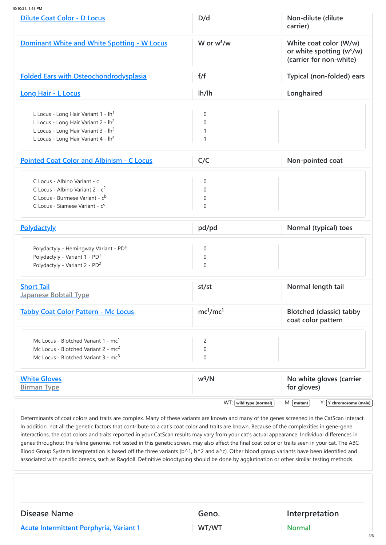10/10/21, 1:48 PM

| Dilute Coat Color - D Locus                        | D/d                              | Non-dilute (dilute<br>carrier)                                                  |
|----------------------------------------------------|----------------------------------|---------------------------------------------------------------------------------|
| <b>Dominant White and White Spotting - W Locus</b> | W or w <sup>s</sup> /w           | White coat color (W/w)<br>or white spotting $(ws/w)$<br>(carrier for non-white) |
| <b>Folded Ears with Osteochondrodysplasia</b>      | f/f                              | Typical (non-folded) ears                                                       |
| Long Hair - L Locus                                | lh/lh                            | Longhaired                                                                      |
| L Locus - Long Hair Variant 1 - lh <sup>1</sup>    | $\overline{0}$                   |                                                                                 |
| L Locus - Long Hair Variant 2 - lh <sup>2</sup>    | $\Omega$                         |                                                                                 |
| L Locus - Long Hair Variant 3 - lh <sup>3</sup>    |                                  |                                                                                 |
| L Locus - Long Hair Variant 4 - lh <sup>4</sup>    |                                  |                                                                                 |
| <b>Pointed Coat Color and Albinism - C Locus</b>   | C/C                              | Non-pointed coat                                                                |
| C Locus - Albino Variant - c                       |                                  |                                                                                 |
| C Locus - Albino Variant $2 - c^2$                 | $\overline{0}$<br>$\overline{0}$ |                                                                                 |
| C Locus - Burmese Variant - c <sup>b</sup>         | $\overline{0}$                   |                                                                                 |
| C Locus - Siamese Variant - c <sup>s</sup>         | $\overline{0}$                   |                                                                                 |
| <b>Polydactyly</b>                                 | pd/pd                            | Normal (typical) toes                                                           |
| Polydactyly - Hemingway Variant - PD <sup>H</sup>  | $\overline{0}$                   |                                                                                 |
| Polydactyly - Variant 1 - PD <sup>1</sup>          | $\overline{0}$                   |                                                                                 |
| Polydactyly - Variant 2 - PD <sup>2</sup>          | $\Omega$                         |                                                                                 |
| <b>Short Tail</b>                                  | st/st                            | Normal length tail                                                              |
| <b>Japanese Bobtail Type</b>                       |                                  |                                                                                 |
| <b>Tabby Coat Color Pattern - Mc Locus</b>         | mc <sup>1</sup> /mc <sup>1</sup> | <b>Blotched (classic) tabby</b><br>coat color pattern                           |
| Mc Locus - Blotched Variant 1 - mc <sup>1</sup>    | $\overline{2}$                   |                                                                                 |
| Mc Locus - Blotched Variant 2 - mc <sup>2</sup>    | $\overline{0}$                   |                                                                                 |
| Mc Locus - Blotched Variant 3 - mc <sup>3</sup>    | $\Omega$                         |                                                                                 |
| <b>White Gloves</b>                                | $w^g/N$                          | No white gloves (carrier                                                        |
| <b>Birman Type</b>                                 |                                  | for gloves)                                                                     |
|                                                    | $WT: [$ wild type (normal) $]$   | $M: [$ mutant $]$<br>$Y: Y$ chromosome (male)                                   |

Determinants of coat colors and traits are complex. Many of these variants are known and many of the genes screened in the CatScan interact. In addition, not all the genetic factors that contribute to a cat's coat color and traits are known. Because of the complexities in gene-gene interactions, the coat colors and traits reported in your CatScan results may vary from your cat's actual appearance. Individual differences in genes throughout the feline genome, not tested in this genetic screen, may also affect the final coat color or traits seen in your cat. The ABC Blood Group System Interpretation is based off the three variants (b^1, b^2 and a^c). Other blood group variants have been identified and associated with specific breeds, such as Ragdoll. Definitive bloodtyping should be done by agglutination or other similar testing methods.

**[Acute Intermittent Porphyria, Variant 1](https://www.mycatscan.com/summary/MG-DIS-ee052880-7e36-11e9-bcaa-6b42d85367d7) WT/WT Normal** 

## **Disease Name Geno. Interpretation**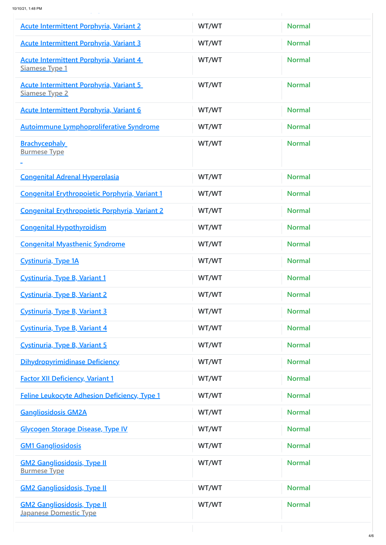**p y**

| <b>Acute Intermittent Porphyria, Variant 2</b>                          | WT/WT | <b>Normal</b> |
|-------------------------------------------------------------------------|-------|---------------|
| <b>Acute Intermittent Porphyria, Variant 3</b>                          | WT/WT | <b>Normal</b> |
| <b>Acute Intermittent Porphyria, Variant 4</b><br><b>Siamese Type 1</b> | WT/WT | <b>Normal</b> |
| <b>Acute Intermittent Porphyria, Variant 5</b><br>Siamese Type 2        | WT/WT | <b>Normal</b> |
| <b>Acute Intermittent Porphyria, Variant 6</b>                          | WT/WT | <b>Normal</b> |
| <b>Autoimmune Lymphoproliferative Syndrome</b>                          | WT/WT | <b>Normal</b> |
| <b>Brachycephaly</b><br><b>Burmese Type</b>                             | WT/WT | <b>Normal</b> |
| <b>Congenital Adrenal Hyperplasia</b>                                   | WT/WT | <b>Normal</b> |
| <b>Congenital Erythropoietic Porphyria, Variant 1</b>                   | WT/WT | <b>Normal</b> |
| <b>Congenital Erythropoietic Porphyria, Variant 2</b>                   | WT/WT | <b>Normal</b> |
| <b>Congenital Hypothyroidism</b>                                        | WT/WT | <b>Normal</b> |
| <b>Congenital Myasthenic Syndrome</b>                                   | WT/WT | <b>Normal</b> |
| <b>Cystinuria, Type 1A</b>                                              | WT/WT | <b>Normal</b> |
| Cystinuria, Type B, Variant 1                                           | WT/WT | <b>Normal</b> |
| <b>Cystinuria, Type B, Variant 2</b>                                    | WT/WT | <b>Normal</b> |
| Cystinuria, Type B, Variant 3                                           | WT/WT | <b>Normal</b> |
| Cystinuria, Type B, Variant 4                                           | WT/WT | <b>Normal</b> |
| Cystinuria, Type B, Variant 5                                           | WT/WT | <b>Normal</b> |
| <b>Dihydropyrimidinase Deficiency</b>                                   | WT/WT | <b>Normal</b> |
| <b>Factor XII Deficiency, Variant 1</b>                                 | WT/WT | <b>Normal</b> |
| <b>Feline Leukocyte Adhesion Deficiency, Type 1</b>                     | WT/WT | <b>Normal</b> |
| <b>Gangliosidosis GM2A</b>                                              | WT/WT | <b>Normal</b> |
| <b>Glycogen Storage Disease, Type IV</b>                                | WT/WT | <b>Normal</b> |
| <b>GM1 Gangliosidosis</b>                                               | WT/WT | <b>Normal</b> |
| <b>GM2 Gangliosidosis, Type II</b><br><b>Burmese Type</b>               | WT/WT | <b>Normal</b> |
| <b>GM2 Gangliosidosis, Type II</b>                                      | WT/WT | <b>Normal</b> |
| <b>GM2 Gangliosidosis, Type II</b><br><b>Japanese Domestic Type</b>     | WT/WT | <b>Normal</b> |
|                                                                         |       | 4/6           |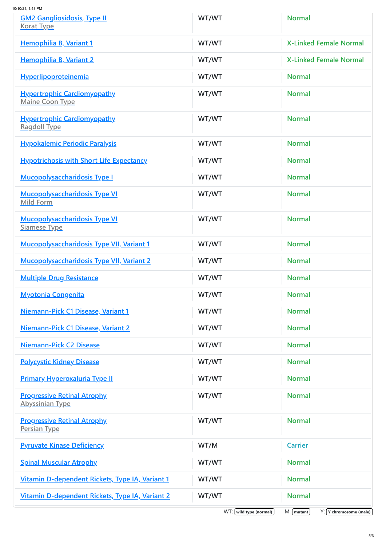10/10/21, 1:48 PM

| <b>GM2 Gangliosidosis, Type II</b><br><b>Korat Type</b>      | WT/WT                      | <b>Normal</b>                                 |
|--------------------------------------------------------------|----------------------------|-----------------------------------------------|
| <b>Hemophilia B, Variant 1</b>                               | WT/WT                      | <b>X-Linked Female Normal</b>                 |
| <b>Hemophilia B, Variant 2</b>                               | WT/WT                      | <b>X-Linked Female Normal</b>                 |
| <b>Hyperlipoproteinemia</b>                                  | WT/WT                      | <b>Normal</b>                                 |
| <b>Hypertrophic Cardiomyopathy</b><br><b>Maine Coon Type</b> | WT/WT                      | <b>Normal</b>                                 |
| <b>Hypertrophic Cardiomyopathy</b><br><b>Ragdoll Type</b>    | WT/WT                      | <b>Normal</b>                                 |
| <b>Hypokalemic Periodic Paralysis</b>                        | WT/WT                      | <b>Normal</b>                                 |
| <b>Hypotrichosis with Short Life Expectancy</b>              | WT/WT                      | <b>Normal</b>                                 |
| <b>Mucopolysaccharidosis Type I</b>                          | WT/WT                      | <b>Normal</b>                                 |
| <b>Mucopolysaccharidosis Type VI</b><br><b>Mild Form</b>     | WT/WT                      | <b>Normal</b>                                 |
| <b>Mucopolysaccharidosis Type VI</b><br><b>Siamese Type</b>  | WT/WT                      | Normal                                        |
| <b>Mucopolysaccharidosis Type VII, Variant 1</b>             | WT/WT                      | <b>Normal</b>                                 |
| <b>Mucopolysaccharidosis Type VII, Variant 2</b>             | WT/WT                      | <b>Normal</b>                                 |
| <b>Multiple Drug Resistance</b>                              | WT/WT                      | <b>Normal</b>                                 |
| <b>Myotonia Congenita</b>                                    | WT/WT                      | <b>Normal</b>                                 |
| Niemann-Pick C1 Disease, Variant 1                           | WT/WT                      | <b>Normal</b>                                 |
| Niemann-Pick C1 Disease, Variant 2                           | WT/WT                      | <b>Normal</b>                                 |
| <b>Niemann-Pick C2 Disease</b>                               | WT/WT                      | <b>Normal</b>                                 |
| <b>Polycystic Kidney Disease</b>                             | WT/WT                      | <b>Normal</b>                                 |
| <b>Primary Hyperoxaluria Type II</b>                         | WT/WT                      | <b>Normal</b>                                 |
| <b>Progressive Retinal Atrophy</b><br><b>Abyssinian Type</b> | WT/WT                      | <b>Normal</b>                                 |
| <b>Progressive Retinal Atrophy</b><br><b>Persian Type</b>    | WT/WT                      | <b>Normal</b>                                 |
| <b>Pyruvate Kinase Deficiency</b>                            | WT/M                       | <b>Carrier</b>                                |
| <b>Spinal Muscular Atrophy</b>                               | WT/WT                      | <b>Normal</b>                                 |
| Vitamin D-dependent Rickets, Type IA, Variant 1              | WT/WT                      | <b>Normal</b>                                 |
| Vitamin D-dependent Rickets, Type IA, Variant 2              | WT/WT                      | <b>Normal</b>                                 |
|                                                              | $WT: [$ wild type (normal) | $M: [$ mutant $]$<br>$Y: Y$ chromosome (male) |